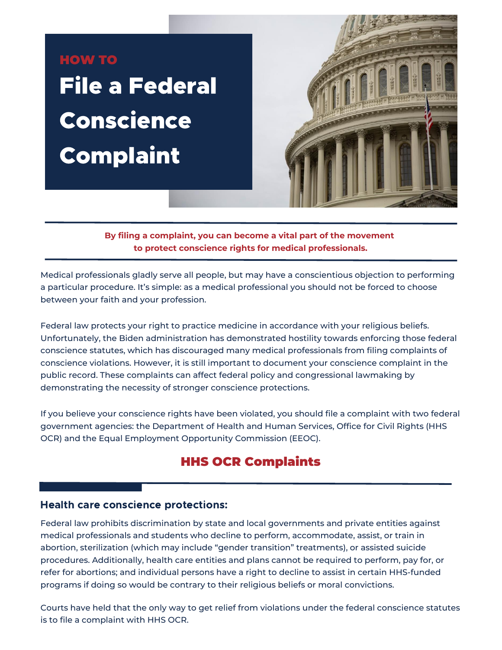# HOW TO File a Federal Conscience **Complaint**



**By filing a complaint, you can become a vital part of the movement to protect conscience rights for medical professionals.**

Medical professionals gladly serve all people, but may have a conscientious objection to performing a particular procedure. It's simple: as a medical professional you should not be forced to choose between your faith and your profession.

Federal law protects your right to practice medicine in accordance with your religious beliefs. Unfortunately, the Biden administration has demonstrated hostility towards enforcing those federal conscience statutes, which has discouraged many medical professionals from filing complaints of conscience violations. However, it is still important to document your conscience complaint in the public record. These complaints can affect federal policy and congressional lawmaking by demonstrating the necessity of stronger conscience protections.

If you believe your conscience rights have been violated, you should file a complaint with two federal government agencies: the Department of Health and Human Services, Office for Civil Rights (HHS OCR) and the Equal Employment Opportunity Commission (EEOC).

## HHS OCR Complaints

#### Health care conscience protections:

Federal law prohibits discrimination by state and local governments and private entities against medical professionals and students who decline to perform, accommodate, assist, or train in abortion, sterilization (which may include "gender transition" treatments), or assisted suicide procedures. Additionally, health care entities and plans cannot be required to perform, pay for, or refer for abortions; and individual persons have a right to decline to assist in certain HHS-funded programs if doing so would be contrary to their religious beliefs or moral convictions.

Courts have held that the only way to get relief from violations under the federal conscience statutes is to file a complaint with HHS OCR.